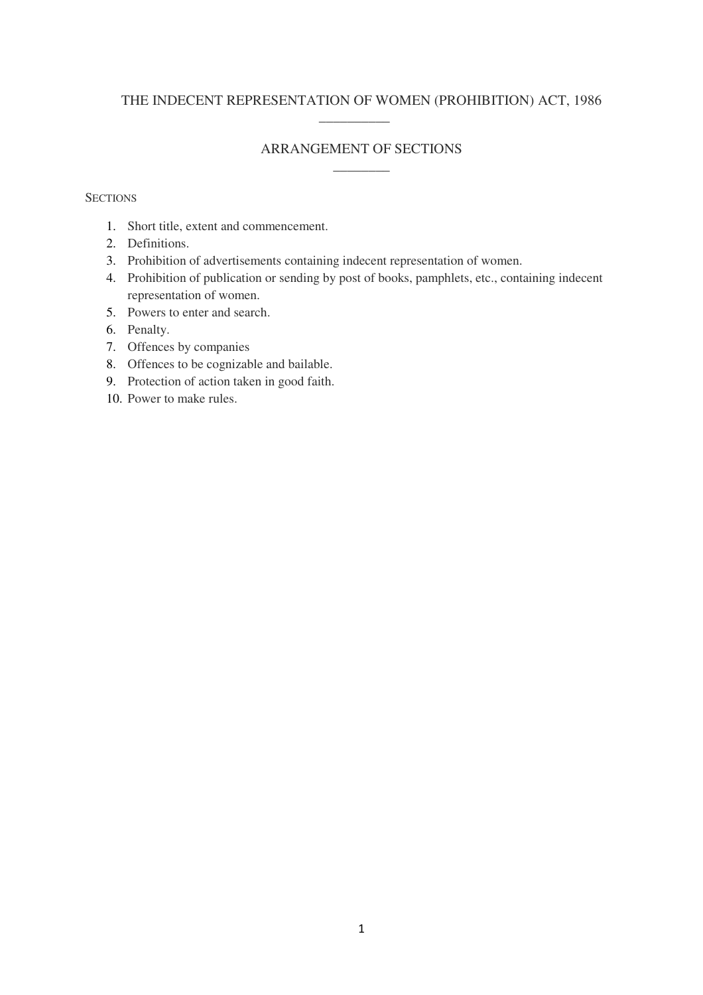# THE INDECENT REPRESENTATION OF WOMEN (PROHIBITION) ACT, 1986  $\overline{\phantom{a}}$   $\overline{\phantom{a}}$   $\overline{\phantom{a}}$   $\overline{\phantom{a}}$   $\overline{\phantom{a}}$   $\overline{\phantom{a}}$   $\overline{\phantom{a}}$   $\overline{\phantom{a}}$   $\overline{\phantom{a}}$   $\overline{\phantom{a}}$   $\overline{\phantom{a}}$   $\overline{\phantom{a}}$   $\overline{\phantom{a}}$   $\overline{\phantom{a}}$   $\overline{\phantom{a}}$   $\overline{\phantom{a}}$   $\overline{\phantom{a}}$   $\overline{\phantom{a}}$   $\overline{\$

## ARRANGEMENT OF SECTIONS  $\overline{\phantom{a}}$

### **SECTIONS**

- 1. Short title, extent and commencement.
- 2. Definitions.
- 3. Prohibition of advertisements containing indecent representation of women.
- 4. Prohibition of publication or sending by post of books, pamphlets, etc., containing indecent representation of women.
- 5. Powers to enter and search.
- 6. Penalty.
- 7. Offences by companies
- 8. Offences to be cognizable and bailable.
- 9. Protection of action taken in good faith.
- 10. Power to make rules.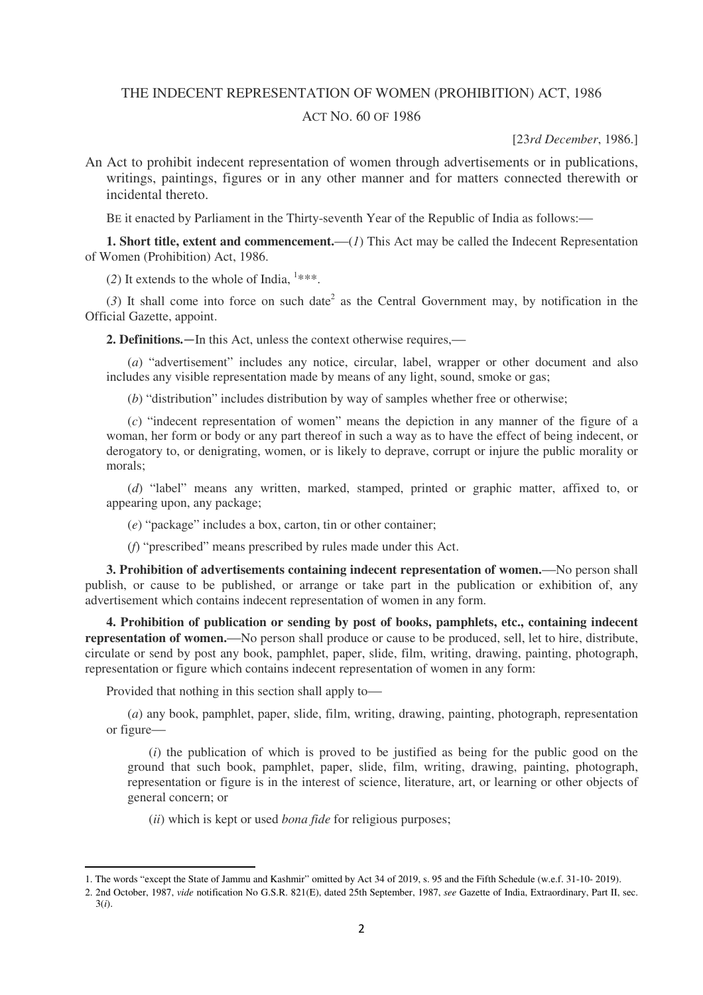#### THE INDECENT REPRESENTATION OF WOMEN (PROHIBITION) ACT, 1986

### ACT NO. 60 OF 1986

[23*rd December*, 1986.]

An Act to prohibit indecent representation of women through advertisements or in publications, writings, paintings, figures or in any other manner and for matters connected therewith or incidental thereto.

BE it enacted by Parliament in the Thirty-seventh Year of the Republic of India as follows:—

**1. Short title, extent and commencement.**—(*1*) This Act may be called the Indecent Representation of Women (Prohibition) Act, 1986.

(2) It extends to the whole of India,  $1***$ .

 $(3)$  It shall come into force on such date<sup>2</sup> as the Central Government may, by notification in the Official Gazette, appoint.

**2. Definitions.**—In this Act, unless the context otherwise requires,—

(*a*) "advertisement" includes any notice, circular, label, wrapper or other document and also includes any visible representation made by means of any light, sound, smoke or gas;

(*b*) "distribution" includes distribution by way of samples whether free or otherwise;

(*c*) "indecent representation of women" means the depiction in any manner of the figure of a woman, her form or body or any part thereof in such a way as to have the effect of being indecent, or derogatory to, or denigrating, women, or is likely to deprave, corrupt or injure the public morality or morals;

(*d*) "label" means any written, marked, stamped, printed or graphic matter, affixed to, or appearing upon, any package;

(*e*) "package" includes a box, carton, tin or other container;

(*f*) "prescribed" means prescribed by rules made under this Act.

**3. Prohibition of advertisements containing indecent representation of women.**—No person shall publish, or cause to be published, or arrange or take part in the publication or exhibition of, any advertisement which contains indecent representation of women in any form.

**4. Prohibition of publication or sending by post of books, pamphlets, etc., containing indecent representation of women.**—No person shall produce or cause to be produced, sell, let to hire, distribute, circulate or send by post any book, pamphlet, paper, slide, film, writing, drawing, painting, photograph, representation or figure which contains indecent representation of women in any form:

Provided that nothing in this section shall apply to—

l

(*a*) any book, pamphlet, paper, slide, film, writing, drawing, painting, photograph, representation or figure—

(*i*) the publication of which is proved to be justified as being for the public good on the ground that such book, pamphlet, paper, slide, film, writing, drawing, painting, photograph, representation or figure is in the interest of science, literature, art, or learning or other objects of general concern; or

(*ii*) which is kept or used *bona fide* for religious purposes;

<sup>1.</sup> The words "except the State of Jammu and Kashmir" omitted by Act 34 of 2019, s. 95 and the Fifth Schedule (w.e.f. 31-10- 2019).

<sup>2. 2</sup>nd October, 1987, *vide* notification No G.S.R. 821(E), dated 25th September, 1987, *see* Gazette of India, Extraordinary, Part II, sec. 3(*i*).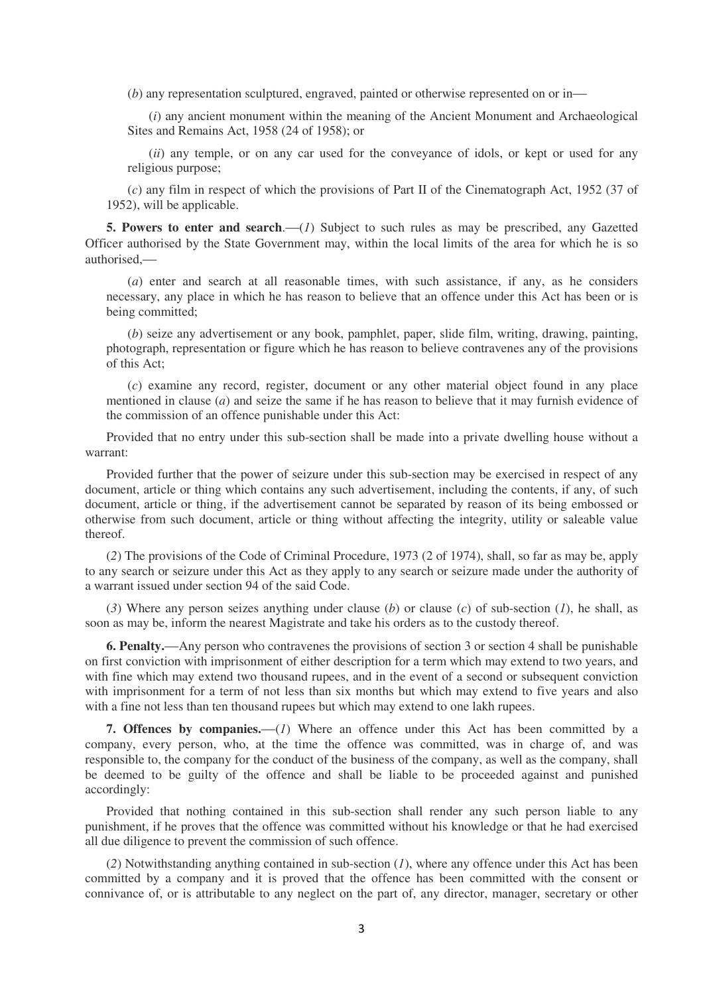(*b*) any representation sculptured, engraved, painted or otherwise represented on or in—

(*i*) any ancient monument within the meaning of the Ancient Monument and Archaeological Sites and Remains Act, 1958 (24 of 1958); or

(*ii*) any temple, or on any car used for the conveyance of idols, or kept or used for any religious purpose;

(*c*) any film in respect of which the provisions of Part II of the Cinematograph Act, 1952 (37 of 1952), will be applicable.

**5. Powers to enter and search**.—(*1*) Subject to such rules as may be prescribed, any Gazetted Officer authorised by the State Government may, within the local limits of the area for which he is so authorised,—

(*a*) enter and search at all reasonable times, with such assistance, if any, as he considers necessary, any place in which he has reason to believe that an offence under this Act has been or is being committed;

(*b*) seize any advertisement or any book, pamphlet, paper, slide film, writing, drawing, painting, photograph, representation or figure which he has reason to believe contravenes any of the provisions of this Act;

(*c*) examine any record, register, document or any other material object found in any place mentioned in clause (*a*) and seize the same if he has reason to believe that it may furnish evidence of the commission of an offence punishable under this Act:

Provided that no entry under this sub-section shall be made into a private dwelling house without a warrant:

Provided further that the power of seizure under this sub-section may be exercised in respect of any document, article or thing which contains any such advertisement, including the contents, if any, of such document, article or thing, if the advertisement cannot be separated by reason of its being embossed or otherwise from such document, article or thing without affecting the integrity, utility or saleable value thereof.

(*2*) The provisions of the Code of Criminal Procedure, 1973 (2 of 1974), shall, so far as may be, apply to any search or seizure under this Act as they apply to any search or seizure made under the authority of a warrant issued under section 94 of the said Code.

(*3*) Where any person seizes anything under clause (*b*) or clause (*c*) of sub-section (*1*), he shall, as soon as may be, inform the nearest Magistrate and take his orders as to the custody thereof.

**6. Penalty.**—Any person who contravenes the provisions of section 3 or section 4 shall be punishable on first conviction with imprisonment of either description for a term which may extend to two years, and with fine which may extend two thousand rupees, and in the event of a second or subsequent conviction with imprisonment for a term of not less than six months but which may extend to five years and also with a fine not less than ten thousand rupees but which may extend to one lakh rupees.

**7. Offences by companies.**—(*1*) Where an offence under this Act has been committed by a company, every person, who, at the time the offence was committed, was in charge of, and was responsible to, the company for the conduct of the business of the company, as well as the company, shall be deemed to be guilty of the offence and shall be liable to be proceeded against and punished accordingly:

Provided that nothing contained in this sub-section shall render any such person liable to any punishment, if he proves that the offence was committed without his knowledge or that he had exercised all due diligence to prevent the commission of such offence.

(*2*) Notwithstanding anything contained in sub-section (*1*), where any offence under this Act has been committed by a company and it is proved that the offence has been committed with the consent or connivance of, or is attributable to any neglect on the part of, any director, manager, secretary or other